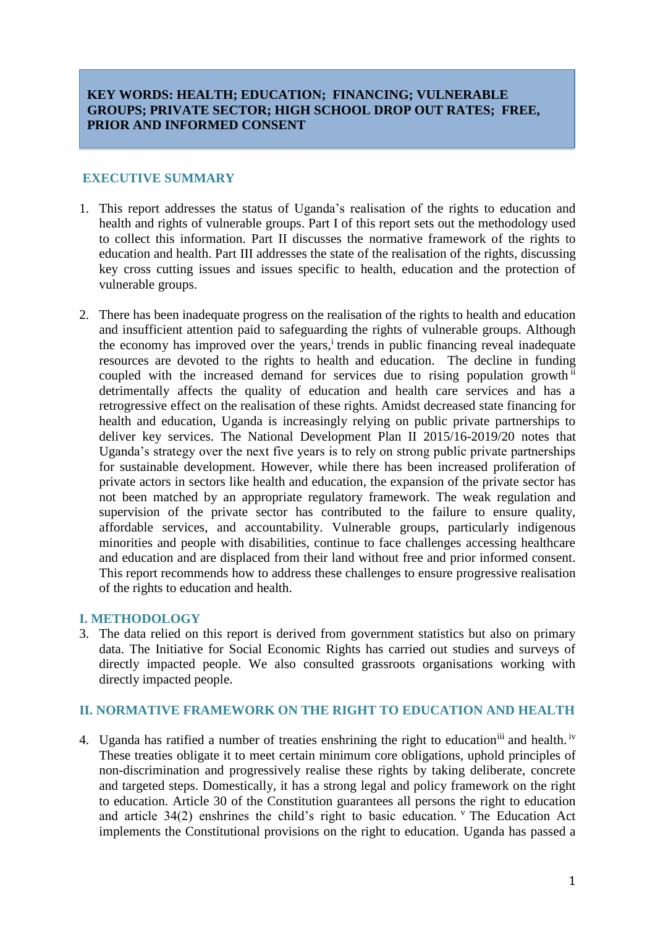# **KEY WORDS: HEALTH; EDUCATION; FINANCING; VULNERABLE GROUPS; PRIVATE SECTOR; HIGH SCHOOL DROP OUT RATES; FREE, PRIOR AND INFORMED CONSENT**

#### **EXECUTIVE SUMMARY**

- 1. This report addresses the status of Uganda's realisation of the rights to education and health and rights of vulnerable groups. Part I of this report sets out the methodology used to collect this information. Part II discusses the normative framework of the rights to education and health. Part III addresses the state of the realisation of the rights, discussing key cross cutting issues and issues specific to health, education and the protection of vulnerable groups.
- 2. There has been inadequate progress on the realisation of the rights to health and education and insufficient attention paid to safeguarding the rights of vulnerable groups. Although the economy has improved over the years,<sup>i</sup> trends in public financing reveal inadequate resources are devoted to the rights to health and education. The decline in funding coupled with the increased demand for services due to rising population growth ii detrimentally affects the quality of education and health care services and has a retrogressive effect on the realisation of these rights. Amidst decreased state financing for health and education, Uganda is increasingly relying on public private partnerships to deliver key services. The National Development Plan II 2015/16-2019/20 notes that Uganda's strategy over the next five years is to rely on strong public private partnerships for sustainable development. However, while there has been increased proliferation of private actors in sectors like health and education, the expansion of the private sector has not been matched by an appropriate regulatory framework. The weak regulation and supervision of the private sector has contributed to the failure to ensure quality, affordable services, and accountability. Vulnerable groups, particularly indigenous minorities and people with disabilities, continue to face challenges accessing healthcare and education and are displaced from their land without free and prior informed consent. This report recommends how to address these challenges to ensure progressive realisation of the rights to education and health.

### **I. METHODOLOGY**

3. The data relied on this report is derived from government statistics but also on primary data. The Initiative for Social Economic Rights has carried out studies and surveys of directly impacted people. We also consulted grassroots organisations working with directly impacted people.

# **II. NORMATIVE FRAMEWORK ON THE RIGHT TO EDUCATION AND HEALTH**

4. Uganda has ratified a number of treaties enshrining the right to education<sup>iii</sup> and health.<sup>iv</sup> These treaties obligate it to meet certain minimum core obligations, uphold principles of non-discrimination and progressively realise these rights by taking deliberate, concrete and targeted steps. Domestically, it has a strong legal and policy framework on the right to education. Article 30 of the Constitution guarantees all persons the right to education and article  $34(2)$  enshrines the child's right to basic education. <sup>v</sup> The Education Act implements the Constitutional provisions on the right to education. Uganda has passed a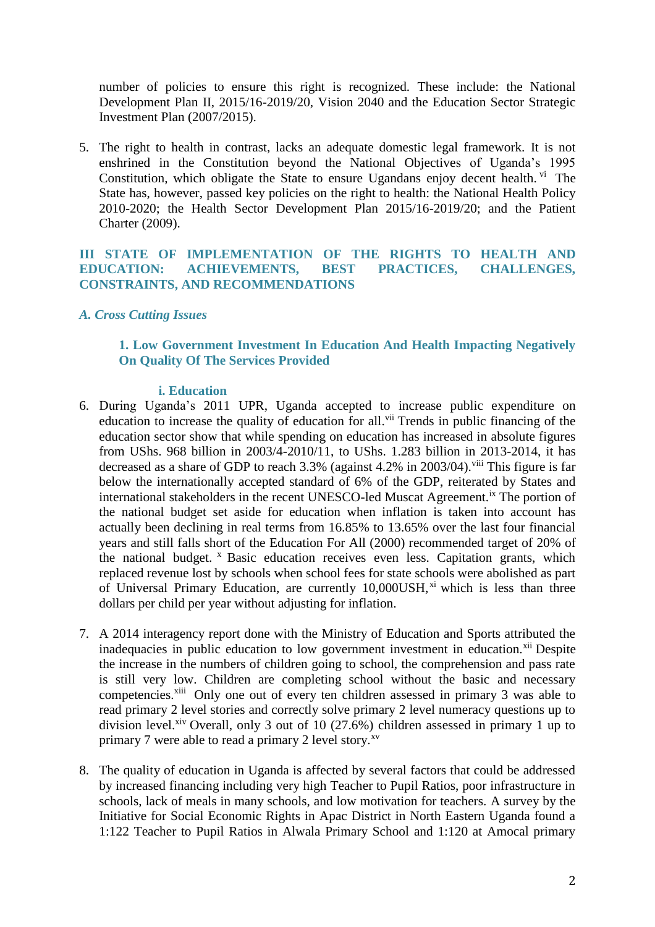number of policies to ensure this right is recognized. These include: the National Development Plan II, 2015/16-2019/20, Vision 2040 and the Education Sector Strategic Investment Plan (2007/2015).

5. The right to health in contrast, lacks an adequate domestic legal framework. It is not enshrined in the Constitution beyond the National Objectives of Uganda's 1995 Constitution, which obligate the State to ensure Ugandans enjoy decent health. Vi The State has, however, passed key policies on the right to health: the National Health Policy 2010-2020; the Health Sector Development Plan 2015/16-2019/20; and the Patient Charter (2009).

**III STATE OF IMPLEMENTATION OF THE RIGHTS TO HEALTH AND EDUCATION: ACHIEVEMENTS, BEST PRACTICES, CHALLENGES, CONSTRAINTS, AND RECOMMENDATIONS**

### *A. Cross Cutting Issues*

## **1. Low Government Investment In Education And Health Impacting Negatively On Quality Of The Services Provided**

#### **i. Education**

- 6. During Uganda's 2011 UPR, Uganda accepted to increase public expenditure on education to increase the quality of education for all.<sup>vii</sup> Trends in public financing of the education sector show that while spending on education has increased in absolute figures from UShs. 968 billion in 2003/4-2010/11, to UShs. 1.283 billion in 2013-2014, it has decreased as a share of GDP to reach  $3.3\%$  (against  $4.2\%$  in  $2003/04$ ).<sup>viii</sup> This figure is far below the internationally accepted standard of 6% of the GDP, reiterated by States and international stakeholders in the recent UNESCO-led Muscat Agreement.<sup>ix</sup> The portion of the national budget set aside for education when inflation is taken into account has actually been declining in real terms from 16.85% to 13.65% over the last four financial years and still falls short of the Education For All (2000) recommended target of 20% of the national budget. <sup>x</sup> Basic education receives even less. Capitation grants, which replaced revenue lost by schools when school fees for state schools were abolished as part of Universal Primary Education, are currently 10,000USH,<sup>xi</sup> which is less than three dollars per child per year without adjusting for inflation.
- 7. A 2014 interagency report done with the Ministry of Education and Sports attributed the inadequacies in public education to low government investment in education.<sup>xii</sup> Despite the increase in the numbers of children going to school, the comprehension and pass rate is still very low. Children are completing school without the basic and necessary competencies.<sup>xiii</sup> Only one out of every ten children assessed in primary 3 was able to read primary 2 level stories and correctly solve primary 2 level numeracy questions up to division level.<sup>xiv</sup> Overall, only 3 out of 10 (27.6%) children assessed in primary 1 up to primary 7 were able to read a primary 2 level story.<sup>xv</sup>
- 8. The quality of education in Uganda is affected by several factors that could be addressed by increased financing including very high Teacher to Pupil Ratios, poor infrastructure in schools, lack of meals in many schools, and low motivation for teachers. A survey by the Initiative for Social Economic Rights in Apac District in North Eastern Uganda found a 1:122 Teacher to Pupil Ratios in Alwala Primary School and 1:120 at Amocal primary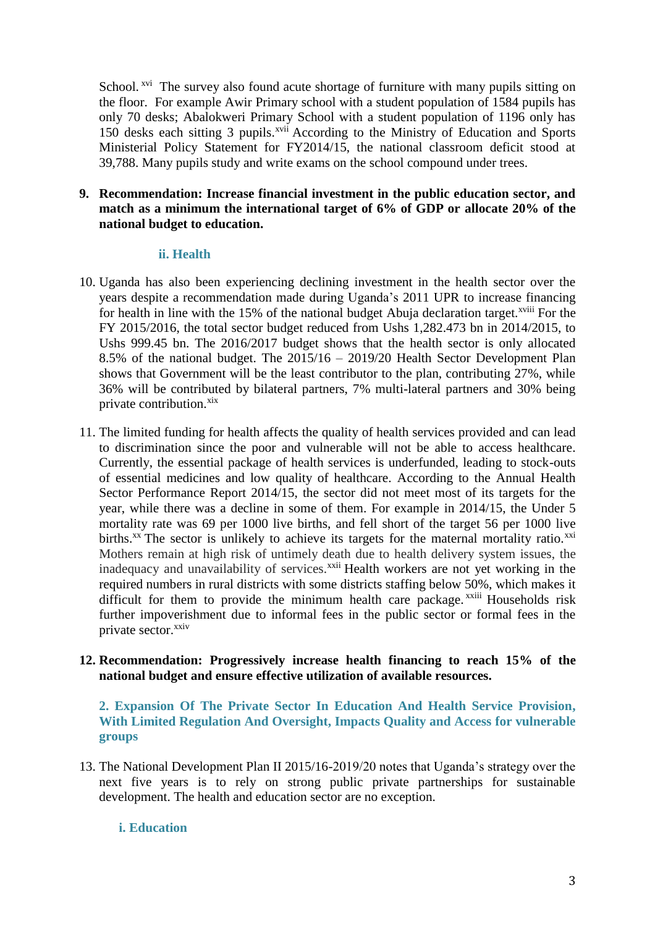School.<sup>xvi</sup> The survey also found acute shortage of furniture with many pupils sitting on the floor. For example Awir Primary school with a student population of 1584 pupils has only 70 desks; Abalokweri Primary School with a student population of 1196 only has 150 desks each sitting 3 pupils.<sup>xvii</sup> According to the Ministry of Education and Sports Ministerial Policy Statement for FY2014/15, the national classroom deficit stood at 39,788. Many pupils study and write exams on the school compound under trees.

## **9. Recommendation: Increase financial investment in the public education sector, and match as a minimum the international target of 6% of GDP or allocate 20% of the national budget to education.**

#### **ii. Health**

- 10. Uganda has also been experiencing declining investment in the health sector over the years despite a recommendation made during Uganda's 2011 UPR to increase financing for health in line with the 15% of the national budget Abuja declaration target.<sup>xviii</sup> For the FY 2015/2016, the total sector budget reduced from Ushs 1,282.473 bn in 2014/2015, to Ushs 999.45 bn. The 2016/2017 budget shows that the health sector is only allocated 8.5% of the national budget. The 2015/16 – 2019/20 Health Sector Development Plan shows that Government will be the least contributor to the plan, contributing 27%, while 36% will be contributed by bilateral partners, 7% multi-lateral partners and 30% being private contribution.<sup>xix</sup>
- 11. The limited funding for health affects the quality of health services provided and can lead to discrimination since the poor and vulnerable will not be able to access healthcare. Currently, the essential package of health services is underfunded, leading to stock-outs of essential medicines and low quality of healthcare. According to the Annual Health Sector Performance Report 2014/15, the sector did not meet most of its targets for the year, while there was a decline in some of them. For example in 2014/15, the Under 5 mortality rate was 69 per 1000 live births, and fell short of the target 56 per 1000 live births.<sup>xx</sup> The sector is unlikely to achieve its targets for the maternal mortality ratio.<sup>xxi</sup> Mothers remain at high risk of untimely death due to health delivery system issues, the inadequacy and unavailability of services.<sup>xxii</sup> Health workers are not yet working in the required numbers in rural districts with some districts staffing below 50%, which makes it difficult for them to provide the minimum health care package.<sup>xxiii</sup> Households risk further impoverishment due to informal fees in the public sector or formal fees in the private sector.<sup>xxiv</sup>

## **12. Recommendation: Progressively increase health financing to reach 15% of the national budget and ensure effective utilization of available resources.**

**2. Expansion Of The Private Sector In Education And Health Service Provision, With Limited Regulation And Oversight, Impacts Quality and Access for vulnerable groups**

13. The National Development Plan II 2015/16-2019/20 notes that Uganda's strategy over the next five years is to rely on strong public private partnerships for sustainable development. The health and education sector are no exception.

## **i. Education**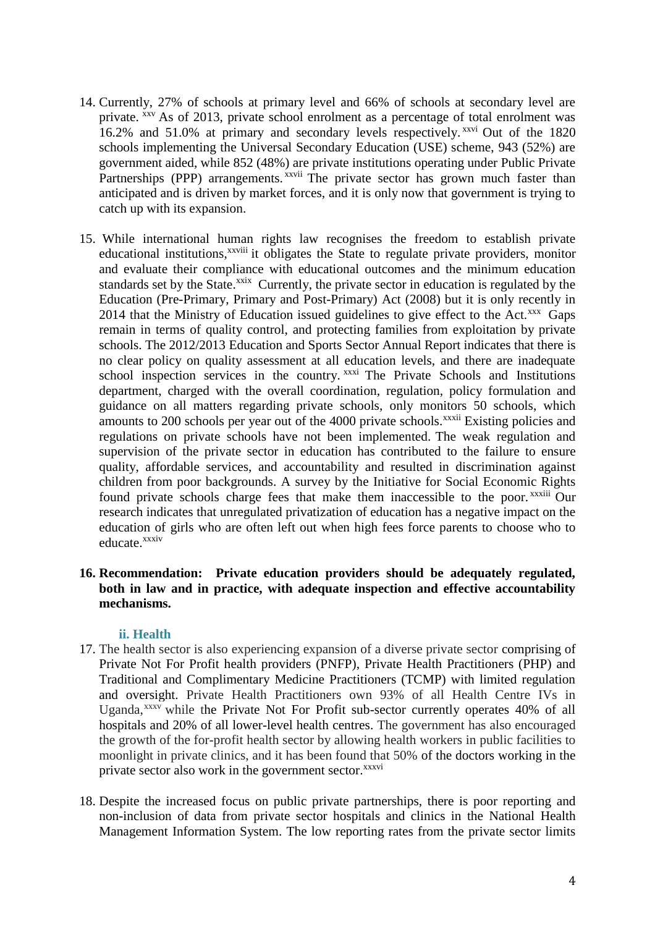- 14. Currently, 27% of schools at primary level and 66% of schools at secondary level are private. xxv As of 2013, private school enrolment as a percentage of total enrolment was 16.2% and 51.0% at primary and secondary levels respectively. xxvi Out of the 1820 schools implementing the Universal Secondary Education (USE) scheme, 943 (52%) are government aided, while 852 (48%) are private institutions operating under Public Private Partnerships (PPP) arrangements. *xxvii* The private sector has grown much faster than anticipated and is driven by market forces, and it is only now that government is trying to catch up with its expansion.
- 15. While international human rights law recognises the freedom to establish private educational institutions,<sup>xxviii</sup> it obligates the State to regulate private providers, monitor and evaluate their compliance with educational outcomes and the minimum education standards set by the State.<sup>xxix</sup> Currently, the private sector in education is regulated by the Education (Pre-Primary, Primary and Post-Primary) Act (2008) but it is only recently in 2014 that the Ministry of Education issued guidelines to give effect to the Act.<sup>xxx</sup> Gaps remain in terms of quality control, and protecting families from exploitation by private schools. The 2012/2013 Education and Sports Sector Annual Report indicates that there is no clear policy on quality assessment at all education levels, and there are inadequate school inspection services in the country. xxxi The Private Schools and Institutions department, charged with the overall coordination, regulation, policy formulation and guidance on all matters regarding private schools, only monitors 50 schools, which amounts to 200 schools per year out of the 4000 private schools.<sup>xxxii</sup> Existing policies and regulations on private schools have not been implemented. The weak regulation and supervision of the private sector in education has contributed to the failure to ensure quality, affordable services, and accountability and resulted in discrimination against children from poor backgrounds. A survey by the Initiative for Social Economic Rights found private schools charge fees that make them inaccessible to the poor. *xxxiii* Our research indicates that unregulated privatization of education has a negative impact on the education of girls who are often left out when high fees force parents to choose who to educate.<sup>xxxiv</sup>

## **16. Recommendation: Private education providers should be adequately regulated, both in law and in practice, with adequate inspection and effective accountability mechanisms.**

#### **ii. Health**

- 17. The health sector is also experiencing expansion of a diverse private sector comprising of Private Not For Profit health providers (PNFP), Private Health Practitioners (PHP) and Traditional and Complimentary Medicine Practitioners (TCMP) with limited regulation and oversight. Private Health Practitioners own 93% of all Health Centre IVs in Uganda,<sup>xxxv</sup> while the Private Not For Profit sub-sector currently operates 40% of all hospitals and 20% of all lower-level health centres. The government has also encouraged the growth of the for-profit health sector by allowing health workers in public facilities to moonlight in private clinics, and it has been found that 50% of the doctors working in the private sector also work in the government sector.<sup>xxxvi</sup>
- 18. Despite the increased focus on public private partnerships, there is poor reporting and non-inclusion of data from private sector hospitals and clinics in the National Health Management Information System. The low reporting rates from the private sector limits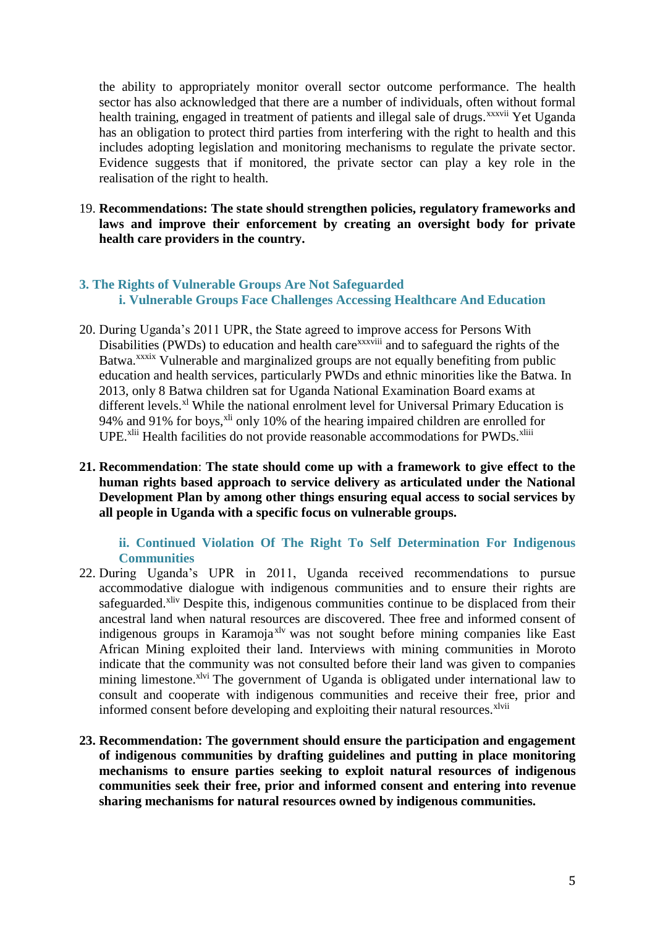the ability to appropriately monitor overall sector outcome performance. The health sector has also acknowledged that there are a number of individuals, often without formal health training, engaged in treatment of patients and illegal sale of drugs.<sup>xxxvii</sup> Yet Uganda has an obligation to protect third parties from interfering with the right to health and this includes adopting legislation and monitoring mechanisms to regulate the private sector. Evidence suggests that if monitored, the private sector can play a key role in the realisation of the right to health.

19. **Recommendations: The state should strengthen policies, regulatory frameworks and laws and improve their enforcement by creating an oversight body for private health care providers in the country.** 

## **3. The Rights of Vulnerable Groups Are Not Safeguarded i. Vulnerable Groups Face Challenges Accessing Healthcare And Education**

- 20. During Uganda's 2011 UPR, the State agreed to improve access for Persons With Disabilities (PWDs) to education and health care<sup>xxxviii</sup> and to safeguard the rights of the Batwa.<sup>xxxix</sup> Vulnerable and marginalized groups are not equally benefiting from public education and health services, particularly PWDs and ethnic minorities like the Batwa. In 2013, only 8 Batwa children sat for Uganda National Examination Board exams at different levels.<sup>xl</sup> While the national enrolment level for Universal Primary Education is 94% and 91% for boys,<sup>xli</sup> only 10% of the hearing impaired children are enrolled for UPE.<sup>xlii</sup> Health facilities do not provide reasonable accommodations for PWDs.<sup>xliii</sup>
- **21. Recommendation**: **The state should come up with a framework to give effect to the human rights based approach to service delivery as articulated under the National Development Plan by among other things ensuring equal access to social services by all people in Uganda with a specific focus on vulnerable groups.**

**ii. Continued Violation Of The Right To Self Determination For Indigenous Communities**

- 22. During Uganda's UPR in 2011, Uganda received recommendations to pursue accommodative dialogue with indigenous communities and to ensure their rights are safeguarded.<sup>xliv</sup> Despite this, indigenous communities continue to be displaced from their ancestral land when natural resources are discovered. Thee free and informed consent of indigenous groups in Karamoja<sup>xlv</sup> was not sought before mining companies like East African Mining exploited their land. Interviews with mining communities in Moroto indicate that the community was not consulted before their land was given to companies mining limestone.<sup>xlvi</sup> The government of Uganda is obligated under international law to consult and cooperate with indigenous communities and receive their free, prior and informed consent before developing and exploiting their natural resources.<sup>xlvii</sup>
- **23. Recommendation: The government should ensure the participation and engagement of indigenous communities by drafting guidelines and putting in place monitoring mechanisms to ensure parties seeking to exploit natural resources of indigenous communities seek their free, prior and informed consent and entering into revenue sharing mechanisms for natural resources owned by indigenous communities.**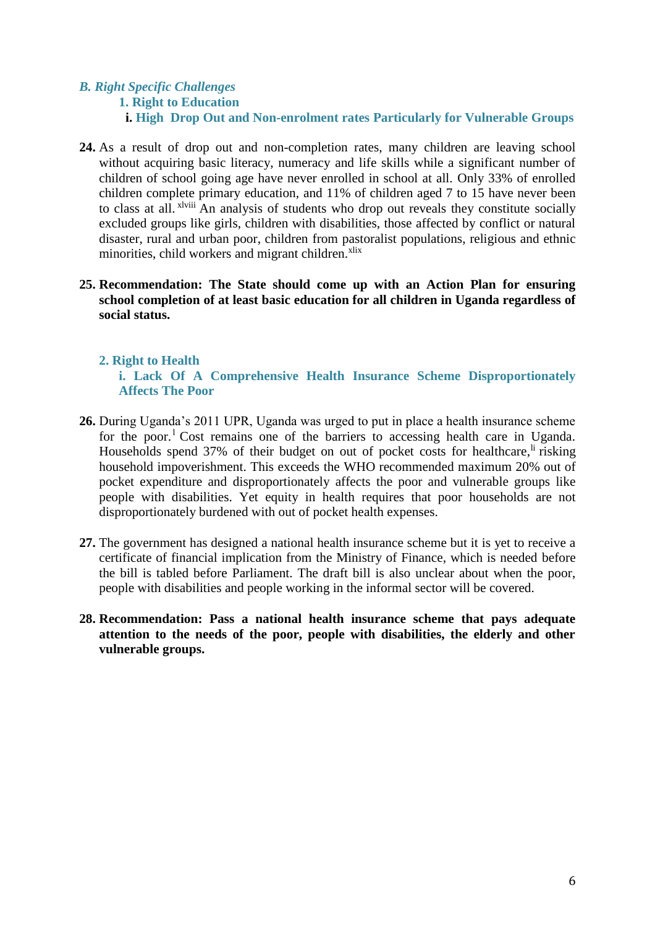## *B. Right Specific Challenges* **1. Right to Education i. High Drop Out and Non-enrolment rates Particularly for Vulnerable Groups**

- **24.** As a result of drop out and non-completion rates, many children are leaving school without acquiring basic literacy, numeracy and life skills while a significant number of children of school going age have never enrolled in school at all. Only 33% of enrolled children complete primary education, and 11% of children aged 7 to 15 have never been to class at all. xlviii An analysis of students who drop out reveals they constitute socially excluded groups like girls, children with disabilities, those affected by conflict or natural disaster, rural and urban poor, children from pastoralist populations, religious and ethnic minorities, child workers and migrant children.<sup>xlix</sup>
- **25. Recommendation: The State should come up with an Action Plan for ensuring school completion of at least basic education for all children in Uganda regardless of social status.**

### **2. Right to Health**

**i. Lack Of A Comprehensive Health Insurance Scheme Disproportionately Affects The Poor**

- **26.** During Uganda's 2011 UPR, Uganda was urged to put in place a health insurance scheme for the poor.<sup>1</sup> Cost remains one of the barriers to accessing health care in Uganda. Households spend 37% of their budget on out of pocket costs for healthcare, <sup>li</sup> risking household impoverishment. This exceeds the WHO recommended maximum 20% out of pocket expenditure and disproportionately affects the poor and vulnerable groups like people with disabilities. Yet equity in health requires that poor households are not disproportionately burdened with out of pocket health expenses.
- **27.** The government has designed a national health insurance scheme but it is yet to receive a certificate of financial implication from the Ministry of Finance, which is needed before the bill is tabled before Parliament. The draft bill is also unclear about when the poor, people with disabilities and people working in the informal sector will be covered.
- **28. Recommendation: Pass a national health insurance scheme that pays adequate attention to the needs of the poor, people with disabilities, the elderly and other vulnerable groups.**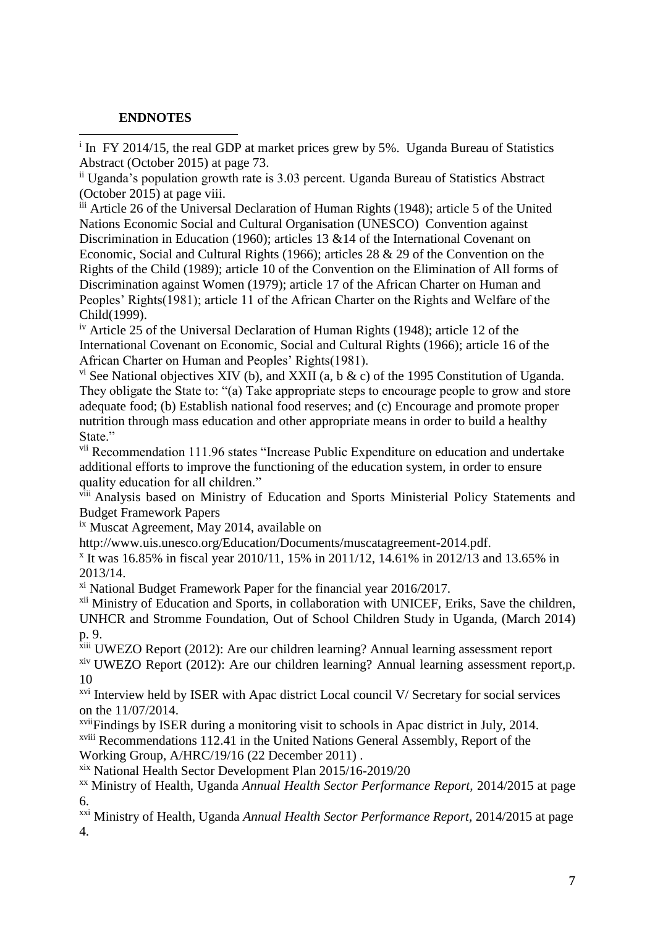## **ENDNOTES**

 $\overline{a}$ <sup>i</sup> In FY 2014/15, the real GDP at market prices grew by 5%. Uganda Bureau of Statistics Abstract (October 2015) at page 73.

ii Uganda's population growth rate is 3.03 percent. Uganda Bureau of Statistics Abstract (October 2015) at page viii.

iii Article 26 of the Universal Declaration of Human Rights (1948); article 5 of the United Nations Economic Social and Cultural Organisation (UNESCO) Convention against Discrimination in Education (1960); articles 13 &14 of the International Covenant on Economic, Social and Cultural Rights (1966); articles 28 & 29 of the Convention on the Rights of the Child (1989); article 10 of the Convention on the Elimination of All forms of Discrimination against Women (1979); article 17 of the African Charter on Human and Peoples' Rights(1981); article 11 of the African Charter on the Rights and Welfare of the Child(1999).

iv Article 25 of the Universal Declaration of Human Rights (1948); article 12 of the International Covenant on Economic, Social and Cultural Rights (1966); article 16 of the African Charter on Human and Peoples' Rights(1981).

<sup>vi</sup> See National objectives XIV (b), and XXII (a, b  $\&$  c) of the 1995 Constitution of Uganda. They obligate the State to: "(a) Take appropriate steps to encourage people to grow and store adequate food; (b) Establish national food reserves; and (c) Encourage and promote proper nutrition through mass education and other appropriate means in order to build a healthy State."

vii Recommendation 111.96 states "Increase Public Expenditure on education and undertake additional efforts to improve the functioning of the education system, in order to ensure quality education for all children."

viii Analysis based on Ministry of Education and Sports Ministerial Policy Statements and Budget Framework Papers

ix Muscat Agreement, May 2014, available on

http://www.uis.unesco.org/Education/Documents/muscatagreement-2014.pdf.

x It was 16.85% in fiscal year 2010/11, 15% in 2011/12, 14.61% in 2012/13 and 13.65% in 2013/14.

xi National Budget Framework Paper for the financial year 2016/2017.

<sup>xii</sup> Ministry of Education and Sports, in collaboration with UNICEF, Eriks, Save the children, UNHCR and Stromme Foundation, Out of School Children Study in Uganda, (March 2014) p. 9.

xiii UWEZO Report (2012): Are our children learning? Annual learning assessment report xiv UWEZO Report (2012): Are our children learning? Annual learning assessment report,p. 10

<sup>xvi</sup> Interview held by ISER with Apac district Local council V/ Secretary for social services on the 11/07/2014.

xviiFindings by ISER during a monitoring visit to schools in Apac district in July, 2014. xviii Recommendations 112.41 in the United Nations General Assembly, Report of the Working Group, A/HRC/19/16 (22 December 2011) .

xix National Health Sector Development Plan 2015/16-2019/20

xx Ministry of Health, Uganda *Annual Health Sector Performance Report,* 2014/2015 at page 6.

xxi Ministry of Health, Uganda *Annual Health Sector Performance Report,* 2014/2015 at page 4.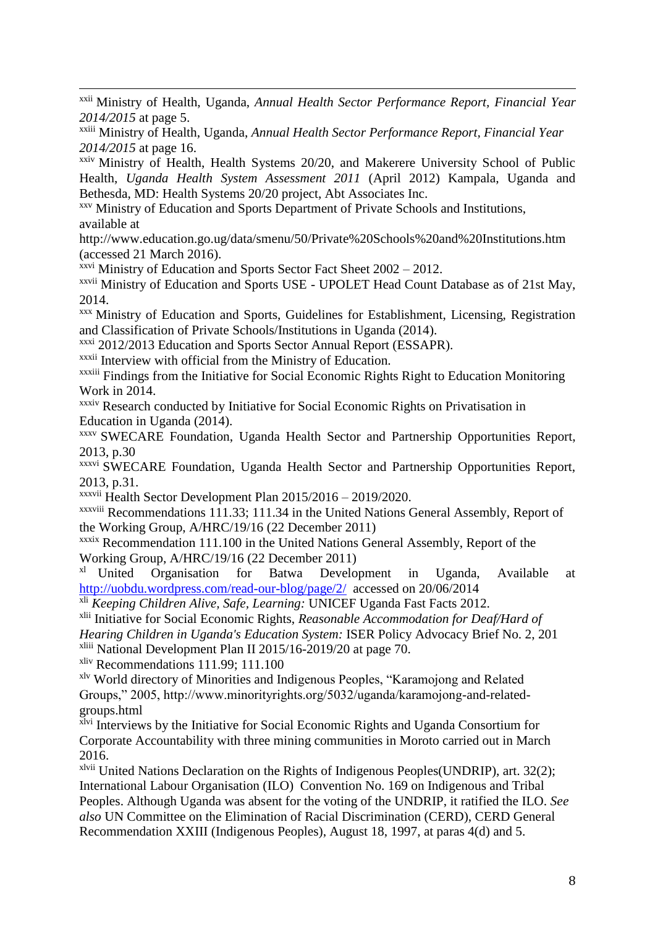$\overline{a}$ xxii Ministry of Health, Uganda, *Annual Health Sector Performance Report, Financial Year 2014/2015* at page 5.

xxiii Ministry of Health, Uganda, *Annual Health Sector Performance Report, Financial Year 2014/2015* at page 16.

xxiv Ministry of Health, Health Systems 20/20, and Makerere University School of Public Health, *Uganda Health System Assessment 2011* (April 2012) Kampala, Uganda and Bethesda, MD: Health Systems 20/20 project, Abt Associates Inc.

xxv Ministry of Education and Sports Department of Private Schools and Institutions, available at

http://www.education.go.ug/data/smenu/50/Private%20Schools%20and%20Institutions.htm (accessed 21 March 2016).

 $x$ <sup>xxvi</sup> Ministry of Education and Sports Sector Fact Sheet 2002 – 2012.

xxvii Ministry of Education and Sports USE - UPOLET Head Count Database as of 21st May, 2014.

xxx Ministry of Education and Sports, Guidelines for Establishment, Licensing, Registration and Classification of Private Schools/Institutions in Uganda (2014).

xxxi 2012/2013 Education and Sports Sector Annual Report (ESSAPR).

xxxii Interview with official from the Ministry of Education.

xxxiii Findings from the Initiative for Social Economic Rights Right to Education Monitoring Work in 2014.

xxxiv Research conducted by Initiative for Social Economic Rights on Privatisation in Education in Uganda (2014).

xxxv SWECARE Foundation, Uganda Health Sector and Partnership Opportunities Report, 2013, p.30

xxxvi SWECARE Foundation, Uganda Health Sector and Partnership Opportunities Report, 2013, p.31.

xxxvii Health Sector Development Plan 2015/2016 – 2019/2020.

xxxviii Recommendations 111.33; 111.34 in the United Nations General Assembly, Report of the Working Group, A/HRC/19/16 (22 December 2011)

xxxix Recommendation 111.100 in the United Nations General Assembly, Report of the Working Group, A/HRC/19/16 (22 December 2011)<br><sup>xl</sup> United Organisation for Batwa Develop

Organisation for Batwa Development in Uganda, Available at <http://uobdu.wordpress.com/read-our-blog/page/2/>accessed on 20/06/2014

xli *Keeping Children Alive, Safe, Learning:* UNICEF Uganda Fast Facts 2012.

xlii Initiative for Social Economic Rights, *Reasonable Accommodation for Deaf/Hard of Hearing Children in Uganda's Education System:* ISER Policy Advocacy Brief No. 2, 201 xliii National Development Plan II 2015/16-2019/20 at page 70.

xliv Recommendations 111.99; 111.100

xlv World directory of Minorities and Indigenous Peoples, "Karamojong and Related Groups," 2005, http://www.minorityrights.org/5032/uganda/karamojong-and-relatedgroups.html

xlvi Interviews by the Initiative for Social Economic Rights and Uganda Consortium for Corporate Accountability with three mining communities in Moroto carried out in March 2016.

xlvii United Nations Declaration on the Rights of Indigenous Peoples(UNDRIP), art. 32(2); International Labour Organisation (ILO) Convention No. 169 on Indigenous and Tribal Peoples. Although Uganda was absent for the voting of the UNDRIP, it ratified the ILO. *See also* UN Committee on the Elimination of Racial Discrimination (CERD), CERD General Recommendation XXIII (Indigenous Peoples), August 18, 1997, at paras 4(d) and 5.